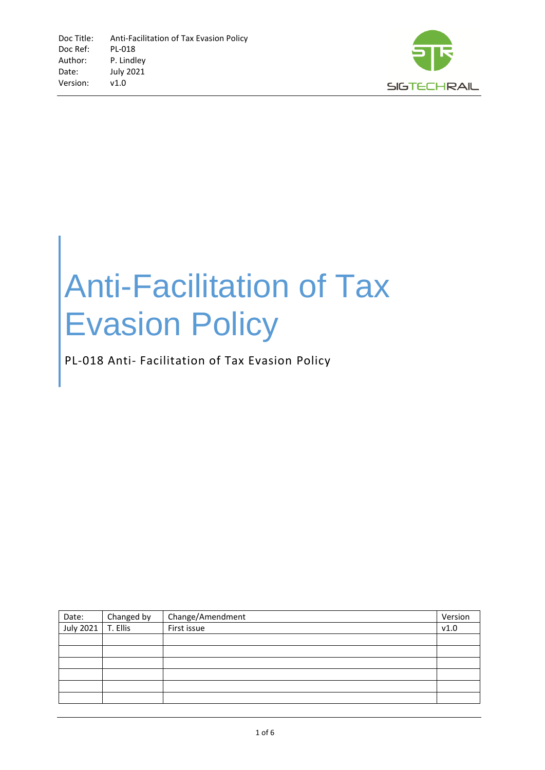

# Anti-Facilitation of Tax Evasion Policy

PL-018 Anti- Facilitation of Tax Evasion Policy

| Date:     | Changed by | Change/Amendment | Version |
|-----------|------------|------------------|---------|
| July 2021 | T. Ellis   | First issue      | v1.0    |
|           |            |                  |         |
|           |            |                  |         |
|           |            |                  |         |
|           |            |                  |         |
|           |            |                  |         |
|           |            |                  |         |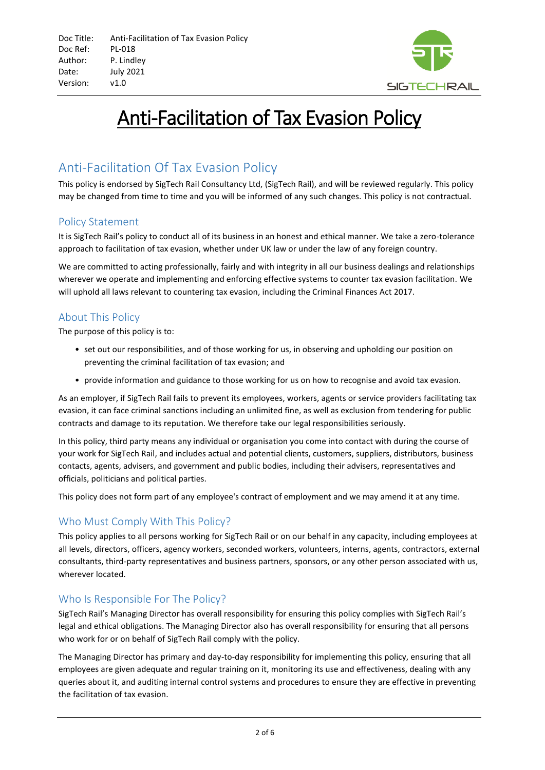

## Anti-Facilitation of Tax Evasion Policy

### Anti-Facilitation Of Tax Evasion Policy

This policy is endorsed by SigTech Rail Consultancy Ltd, (SigTech Rail), and will be reviewed regularly. This policy may be changed from time to time and you will be informed of any such changes. This policy is not contractual.

#### Policy Statement

It is SigTech Rail's policy to conduct all of its business in an honest and ethical manner. We take a zero-tolerance approach to facilitation of tax evasion, whether under UK law or under the law of any foreign country.

We are committed to acting professionally, fairly and with integrity in all our business dealings and relationships wherever we operate and implementing and enforcing effective systems to counter tax evasion facilitation. We will uphold all laws relevant to countering tax evasion, including the Criminal Finances Act 2017.

#### About This Policy

The purpose of this policy is to:

- set out our responsibilities, and of those working for us, in observing and upholding our position on preventing the criminal facilitation of tax evasion; and
- provide information and guidance to those working for us on how to recognise and avoid tax evasion.

As an employer, if SigTech Rail fails to prevent its employees, workers, agents or service providers facilitating tax evasion, it can face criminal sanctions including an unlimited fine, as well as exclusion from tendering for public contracts and damage to its reputation. We therefore take our legal responsibilities seriously.

In this policy, third party means any individual or organisation you come into contact with during the course of your work for SigTech Rail, and includes actual and potential clients, customers, suppliers, distributors, business contacts, agents, advisers, and government and public bodies, including their advisers, representatives and officials, politicians and political parties.

This policy does not form part of any employee's contract of employment and we may amend it at any time.

#### Who Must Comply With This Policy?

This policy applies to all persons working for SigTech Rail or on our behalf in any capacity, including employees at all levels, directors, officers, agency workers, seconded workers, volunteers, interns, agents, contractors, external consultants, third-party representatives and business partners, sponsors, or any other person associated with us, wherever located.

#### Who Is Responsible For The Policy?

SigTech Rail's Managing Director has overall responsibility for ensuring this policy complies with SigTech Rail's legal and ethical obligations. The Managing Director also has overall responsibility for ensuring that all persons who work for or on behalf of SigTech Rail comply with the policy.

The Managing Director has primary and day-to-day responsibility for implementing this policy, ensuring that all employees are given adequate and regular training on it, monitoring its use and effectiveness, dealing with any queries about it, and auditing internal control systems and procedures to ensure they are effective in preventing the facilitation of tax evasion.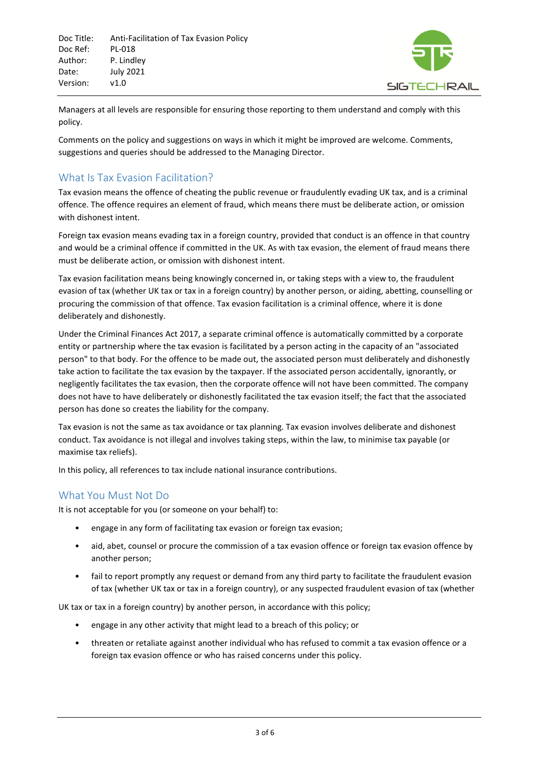Doc Title: Anti-Facilitation of Tax Evasion Policy Doc Ref: PL-018 Author: P. Lindley Date: July 2021 Version: v1.0



Managers at all levels are responsible for ensuring those reporting to them understand and comply with this policy.

Comments on the policy and suggestions on ways in which it might be improved are welcome. Comments, suggestions and queries should be addressed to the Managing Director.

#### What Is Tax Evasion Facilitation?

Tax evasion means the offence of cheating the public revenue or fraudulently evading UK tax, and is a criminal offence. The offence requires an element of fraud, which means there must be deliberate action, or omission with dishonest intent.

Foreign tax evasion means evading tax in a foreign country, provided that conduct is an offence in that country and would be a criminal offence if committed in the UK. As with tax evasion, the element of fraud means there must be deliberate action, or omission with dishonest intent.

Tax evasion facilitation means being knowingly concerned in, or taking steps with a view to, the fraudulent evasion of tax (whether UK tax or tax in a foreign country) by another person, or aiding, abetting, counselling or procuring the commission of that offence. Tax evasion facilitation is a criminal offence, where it is done deliberately and dishonestly.

Under the Criminal Finances Act 2017, a separate criminal offence is automatically committed by a corporate entity or partnership where the tax evasion is facilitated by a person acting in the capacity of an "associated person" to that body. For the offence to be made out, the associated person must deliberately and dishonestly take action to facilitate the tax evasion by the taxpayer. If the associated person accidentally, ignorantly, or negligently facilitates the tax evasion, then the corporate offence will not have been committed. The company does not have to have deliberately or dishonestly facilitated the tax evasion itself; the fact that the associated person has done so creates the liability for the company.

Tax evasion is not the same as tax avoidance or tax planning. Tax evasion involves deliberate and dishonest conduct. Tax avoidance is not illegal and involves taking steps, within the law, to minimise tax payable (or maximise tax reliefs).

In this policy, all references to tax include national insurance contributions.

#### What You Must Not Do

It is not acceptable for you (or someone on your behalf) to:

- engage in any form of facilitating tax evasion or foreign tax evasion;
- aid, abet, counsel or procure the commission of a tax evasion offence or foreign tax evasion offence by another person;
- fail to report promptly any request or demand from any third party to facilitate the fraudulent evasion of tax (whether UK tax or tax in a foreign country), or any suspected fraudulent evasion of tax (whether

UK tax or tax in a foreign country) by another person, in accordance with this policy;

- engage in any other activity that might lead to a breach of this policy; or
- threaten or retaliate against another individual who has refused to commit a tax evasion offence or a foreign tax evasion offence or who has raised concerns under this policy.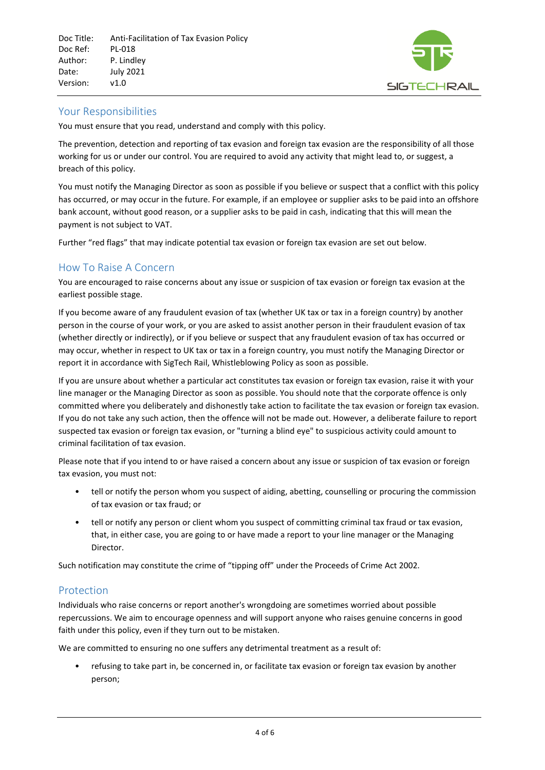

#### Your Responsibilities

You must ensure that you read, understand and comply with this policy.

The prevention, detection and reporting of tax evasion and foreign tax evasion are the responsibility of all those working for us or under our control. You are required to avoid any activity that might lead to, or suggest, a breach of this policy.

You must notify the Managing Director as soon as possible if you believe or suspect that a conflict with this policy has occurred, or may occur in the future. For example, if an employee or supplier asks to be paid into an offshore bank account, without good reason, or a supplier asks to be paid in cash, indicating that this will mean the payment is not subject to VAT.

Further "red flags" that may indicate potential tax evasion or foreign tax evasion are set out below.

#### How To Raise A Concern

You are encouraged to raise concerns about any issue or suspicion of tax evasion or foreign tax evasion at the earliest possible stage.

If you become aware of any fraudulent evasion of tax (whether UK tax or tax in a foreign country) by another person in the course of your work, or you are asked to assist another person in their fraudulent evasion of tax (whether directly or indirectly), or if you believe or suspect that any fraudulent evasion of tax has occurred or may occur, whether in respect to UK tax or tax in a foreign country, you must notify the Managing Director or report it in accordance with SigTech Rail, Whistleblowing Policy as soon as possible.

If you are unsure about whether a particular act constitutes tax evasion or foreign tax evasion, raise it with your line manager or the Managing Director as soon as possible. You should note that the corporate offence is only committed where you deliberately and dishonestly take action to facilitate the tax evasion or foreign tax evasion. If you do not take any such action, then the offence will not be made out. However, a deliberate failure to report suspected tax evasion or foreign tax evasion, or "turning a blind eye" to suspicious activity could amount to criminal facilitation of tax evasion.

Please note that if you intend to or have raised a concern about any issue or suspicion of tax evasion or foreign tax evasion, you must not:

- tell or notify the person whom you suspect of aiding, abetting, counselling or procuring the commission of tax evasion or tax fraud; or
- tell or notify any person or client whom you suspect of committing criminal tax fraud or tax evasion, that, in either case, you are going to or have made a report to your line manager or the Managing Director.

Such notification may constitute the crime of "tipping off" under the Proceeds of Crime Act 2002.

#### Protection

Individuals who raise concerns or report another's wrongdoing are sometimes worried about possible repercussions. We aim to encourage openness and will support anyone who raises genuine concerns in good faith under this policy, even if they turn out to be mistaken.

We are committed to ensuring no one suffers any detrimental treatment as a result of:

• refusing to take part in, be concerned in, or facilitate tax evasion or foreign tax evasion by another person;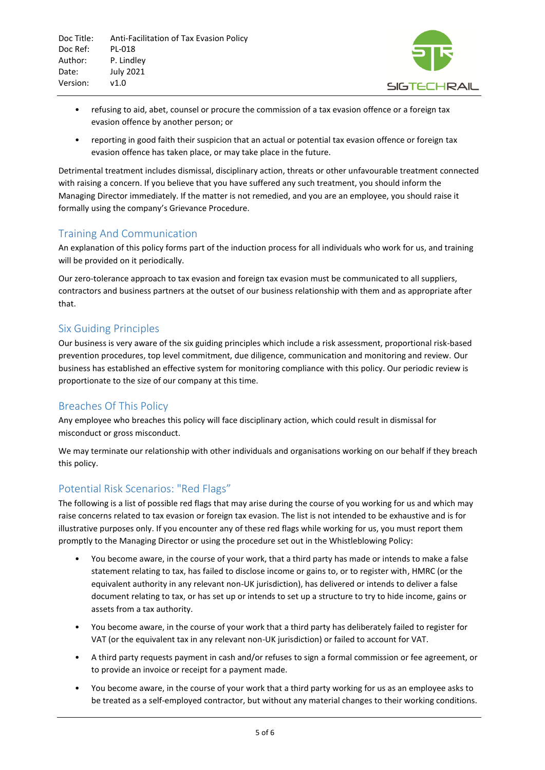

- refusing to aid, abet, counsel or procure the commission of a tax evasion offence or a foreign tax evasion offence by another person; or
- reporting in good faith their suspicion that an actual or potential tax evasion offence or foreign tax evasion offence has taken place, or may take place in the future.

Detrimental treatment includes dismissal, disciplinary action, threats or other unfavourable treatment connected with raising a concern. If you believe that you have suffered any such treatment, you should inform the Managing Director immediately. If the matter is not remedied, and you are an employee, you should raise it formally using the company's Grievance Procedure.

#### Training And Communication

An explanation of this policy forms part of the induction process for all individuals who work for us, and training will be provided on it periodically.

Our zero-tolerance approach to tax evasion and foreign tax evasion must be communicated to all suppliers, contractors and business partners at the outset of our business relationship with them and as appropriate after that.

#### Six Guiding Principles

Our business is very aware of the six guiding principles which include a risk assessment, proportional risk-based prevention procedures, top level commitment, due diligence, communication and monitoring and review. Our business has established an effective system for monitoring compliance with this policy. Our periodic review is proportionate to the size of our company at this time.

#### Breaches Of This Policy

Any employee who breaches this policy will face disciplinary action, which could result in dismissal for misconduct or gross misconduct.

We may terminate our relationship with other individuals and organisations working on our behalf if they breach this policy.

#### Potential Risk Scenarios: "Red Flags"

The following is a list of possible red flags that may arise during the course of you working for us and which may raise concerns related to tax evasion or foreign tax evasion. The list is not intended to be exhaustive and is for illustrative purposes only. If you encounter any of these red flags while working for us, you must report them promptly to the Managing Director or using the procedure set out in the Whistleblowing Policy:

- You become aware, in the course of your work, that a third party has made or intends to make a false statement relating to tax, has failed to disclose income or gains to, or to register with, HMRC (or the equivalent authority in any relevant non-UK jurisdiction), has delivered or intends to deliver a false document relating to tax, or has set up or intends to set up a structure to try to hide income, gains or assets from a tax authority.
- You become aware, in the course of your work that a third party has deliberately failed to register for VAT (or the equivalent tax in any relevant non-UK jurisdiction) or failed to account for VAT.
- A third party requests payment in cash and/or refuses to sign a formal commission or fee agreement, or to provide an invoice or receipt for a payment made.
- You become aware, in the course of your work that a third party working for us as an employee asks to be treated as a self-employed contractor, but without any material changes to their working conditions.